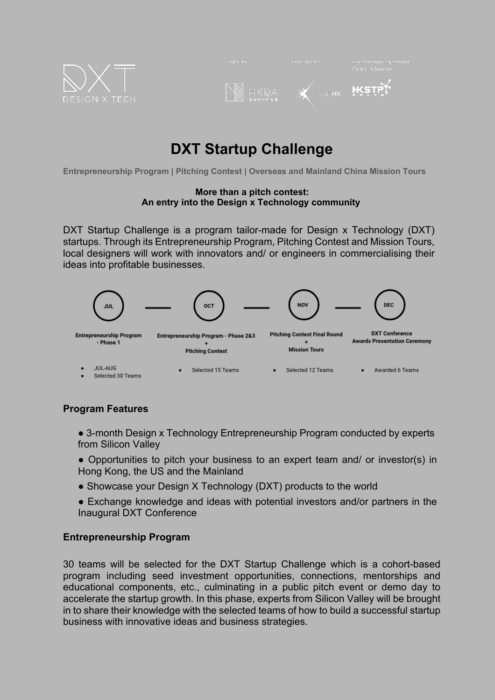

| Organizer       | Lead Sponsor                                  | Collaborating Organization<br>Partner & Sponsor,        |
|-----------------|-----------------------------------------------|---------------------------------------------------------|
| HKDA<br>Anninge | <b>OREALEHK</b><br>$\mathcal{B}_{\mathbf{r}}$ | $\qquad \qquad \Longleftrightarrow$<br><b>TAN HILLY</b> |

# **DXT Startup Challenge**

**Entrepreneurship Program | Pitching Contest | Overseas and Mainland China Mission Tours**

#### **More than a pitch contest: An entry into the Design x Technology community**

DXT Startup Challenge is a program tailor-made for Design x Technology (DXT) startups. Through its Entrepreneurship Program, Pitching Contest and Mission Tours, local designers will work with innovators and/ or engineers in commercialising their ideas into profitable businesses.



## **Program Features**

- 3-month Design x Technology Entrepreneurship Program conducted by experts from Silicon Valley
- Opportunities to pitch your business to an expert team and/ or investor(s) in Hong Kong, the US and the Mainland
- Showcase your Design X Technology (DXT) products to the world
- Exchange knowledge and ideas with potential investors and/or partners in the Inaugural DXT Conference

## **Entrepreneurship Program**

30 teams will be selected for the DXT Startup Challenge which is a cohort-based program including seed investment opportunities, connections, mentorships and educational components, etc., culminating in a public pitch event or demo day to accelerate the startup growth. In this phase, experts from Silicon Valley will be brought in to share their knowledge with the selected teams of how to build a successful startup business with innovative ideas and business strategies.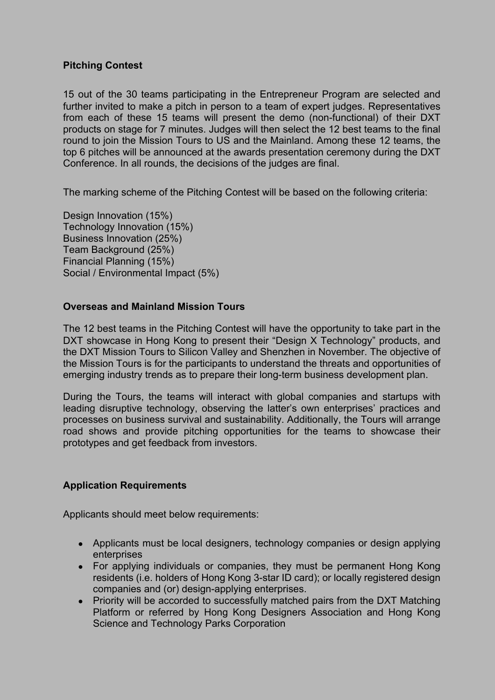### **Pitching Contest**

15 out of the 30 teams participating in the Entrepreneur Program are selected and further invited to make a pitch in person to a team of expert judges. Representatives from each of these 15 teams will present the demo (non-functional) of their DXT products on stage for 7 minutes. Judges will then select the 12 best teams to the final round to join the Mission Tours to US and the Mainland. Among these 12 teams, the top 6 pitches will be announced at the awards presentation ceremony during the DXT Conference. In all rounds, the decisions of the judges are final.

The marking scheme of the Pitching Contest will be based on the following criteria:

Design Innovation (15%) Technology Innovation (15%) Business Innovation (25%) Team Background (25%) Financial Planning (15%) Social / Environmental Impact (5%)

#### **Overseas and Mainland Mission Tours**

The 12 best teams in the Pitching Contest will have the opportunity to take part in the DXT showcase in Hong Kong to present their "Design X Technology" products, and the DXT Mission Tours to Silicon Valley and Shenzhen in November. The objective of the Mission Tours is for the participants to understand the threats and opportunities of emerging industry trends as to prepare their long-term business development plan.

During the Tours, the teams will interact with global companies and startups with leading disruptive technology, observing the latter's own enterprises' practices and processes on business survival and sustainability. Additionally, the Tours will arrange road shows and provide pitching opportunities for the teams to showcase their prototypes and get feedback from investors.

## **Application Requirements**

Applicants should meet below requirements:

- Applicants must be local designers, technology companies or design applying enterprises
- For applying individuals or companies, they must be permanent Hong Kong residents (i.e. holders of Hong Kong 3-star ID card); or locally registered design companies and (or) design-applying enterprises.
- Priority will be accorded to successfully matched pairs from the DXT Matching Platform or referred by Hong Kong Designers Association and Hong Kong Science and Technology Parks Corporation